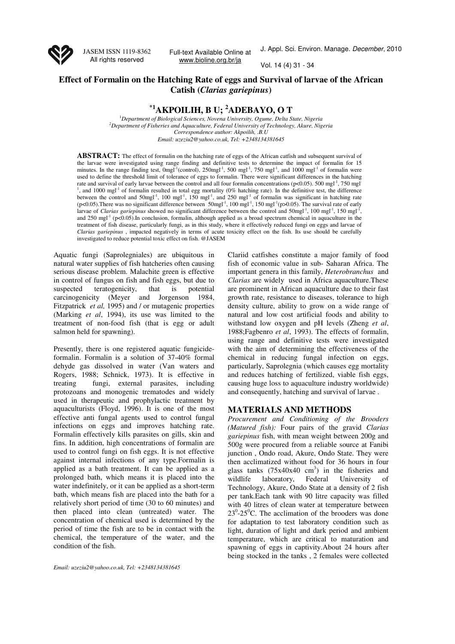

JASEM ISSN 1119-8362 All rights reserved

Full-text Available Online at www.bioline.org.br/ja

J. Appl. Sci. Environ. Manage. December, 2010

Vol. 14 (4) 31 - 34

## **Effect of Formalin on the Hatching Rate of eggs and Survival of larvae of the African Catish (***Clarias gariepinus***)**

# **\*1AKPOILIH, B U; <sup>2</sup>ADEBAYO, O T**

<sup>1</sup>*Department of Biological Sciences, Novena University, Ogume, Delta State, Nigeria <sup>2</sup>Department of Fisheries and Aquaculture, Federal University of Technology, Akure, Nigeria Correspondence author: Akpoilih, .B.U Email: uzeziu2@yahoo.co.uk, Tel: +2348134381645*

**ABSTRACT:** The effect of formalin on the hatching rate of eggs of the African catfish and subsequent survival of the larvae were investigated using range finding and definitive tests to determine the impact of formalin for 15 minutes. In the range finding test,  $0$ mgl<sup>-1</sup>(control),  $250$ mgl<sup>-1</sup>,  $500$  mgl<sup>-1</sup>,  $750$  mgl<sup>-1</sup>, and  $1000$  mgl<sup>-1</sup> of formalin were used to define the threshold limit of tolerance of eggs to formalin. There were significant differences in the hatching rate and survival of early larvae between the control and all four formalin concentrations ( $p<0.05$ ). 500 mgl<sup>-1</sup>, 750 mgl<sup>-</sup>  $<sup>1</sup>$ , and 1000 mgl<sup>-1</sup> of formalin resulted in total egg mortality (0% hatching rate). In the definitive test, the difference</sup> between the control and 50mgl<sup>-1</sup>, 100 mgl<sup>-1</sup>, 150 mgl<sup>-1</sup>, and 250 mgl<sup>-1</sup> of formalin was significant in hatching rate  $(p<0.05)$ . There was no significant difference between  $50$ mgl<sup>-1</sup>, 100 mgl<sup>-1</sup>, 150 mgl<sup>-1</sup>(p>0.05). The survival rate of early larvae of *Clarias gariepinus* showed no significant difference between the control and 50mgl<sup>-1</sup>, 100 mgl<sup>-1</sup>, 150 mgl<sup>-1</sup> , and 250 mgl<sup>-1</sup> (p<0.05).In conclusion, formalin, although applied as a broad spectrum chemical in aquaculture in the treatment of fish disease, particularly fungi, as in this study, where it effectively reduced fungi on eggs and larvae of *Clarias gariepinus* , impacted negatively in terms of acute toxicity effect on the fish. Its use should be carefully investigated to reduce potential toxic effect on fish. @JASEM

Aquatic fungi (Saprolegniales) are ubiquitous in natural water supplies of fish hatcheries often causing serious disease problem. Malachite green is effective in control of fungus on fish and fish eggs, but due to suspected teratogenicity, that is potential carcinogenicity (Meyer and Jorgenson 1984, Fitzpatrick *et al,* 1995) and / or mutagenic properties (Marking *et al*, 1994), its use was limited to the treatment of non-food fish (that is egg or adult salmon held for spawning).

Presently, there is one registered aquatic fungicideformalin. Formalin is a solution of 37-40% formal dehyde gas dissolved in water (Van waters and Rogers, 1988; Schnick, 1973). It is effective in treating fungi, external parasites, including protozoans and monogenic trematodes and widely used in therapeutic and prophylactic treatment by aquaculturists (Floyd, 1996). It is one of the most effective anti fungal agents used to control fungal infections on eggs and improves hatching rate. Formalin effectively kills parasites on gills, skin and fins. In addition, high concentrations of formalin are used to control fungi on fish eggs. It is not effective against internal infections of any type.Formalin is applied as a bath treatment. It can be applied as a prolonged bath, which means it is placed into the water indefinitely, or it can be applied as a short-term bath, which means fish are placed into the bath for a relatively short period of time (30 to 60 minutes) and then placed into clean (untreated) water. The concentration of chemical used is determined by the period of time the fish are to be in contact with the chemical, the temperature of the water, and the condition of the fish.

*Email: uzeziu2@yahoo.co.uk, Tel: +2348134381645*

Clariid catfishes constitute a major family of food fish of economic value in sub- Saharan Africa. The important genera in this family, *Heterobranchus* and *Clarias* are widely used in Africa aquaculture.These are prominent in African aquaculture due to their fast growth rate, resistance to diseases, tolerance to high density culture, ability to grow on a wide range of natural and low cost artificial foods and ability to withstand low oxygen and pH levels (Zheng *et al*, 1988;Fagbenro *et al*, 1993). The effects of formalin, using range and definitive tests were investigated with the aim of determining the effectiveness of the chemical in reducing fungal infection on eggs, particularly, Saprolegnia (which causes egg mortality and reduces hatching of fertilized, viable fish eggs, causing huge loss to aquaculture industry worldwide) and consequently, hatching and survival of larvae .

### **MATERIALS AND METHODS**

*Procurement and Conditioning of the Brooders (Matured fish):* Four pairs of the gravid *Clarias gariepinus* fish, with mean weight between 200g and 500g were procured from a reliable source at Fanibi junction , Ondo road, Akure, Ondo State. They were then acclimatized without food for 36 hours in four glass tanks  $(75x40x40 \text{ cm}^3)$  in the fisheries and wildlife laboratory, Federal University of Technology, Akure, Ondo State at a density of 2 fish per tank.Each tank with 90 litre capacity was filled with 40 litres of clean water at temperature between  $23^{\circ}$ -25 $^{\circ}$ C. The acclimation of the brooders was done for adaptation to test laboratory condition such as light, duration of light and dark period and ambient temperature, which are critical to maturation and spawning of eggs in captivity.About 24 hours after being stocked in the tanks , 2 females were collected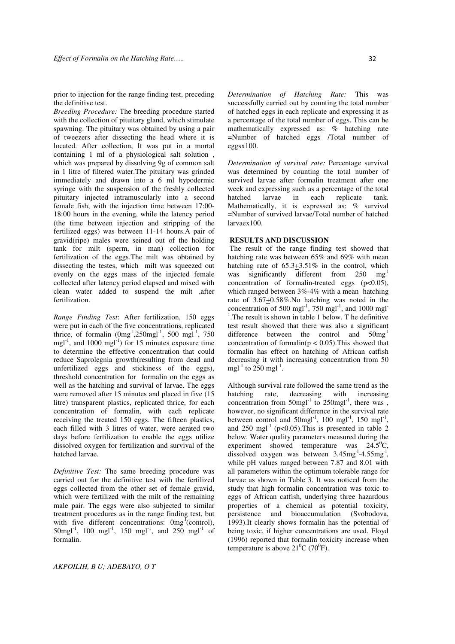prior to injection for the range finding test, preceding the definitive test.

*Breeding Procedure:* The breeding procedure started with the collection of pituitary gland, which stimulate spawning. The pituitary was obtained by using a pair of tweezers after dissecting the head where it is located. After collection, It was put in a mortal containing 1 ml of a physiological salt solution , which was prepared by dissolving 9g of common salt in 1 litre of filtered water.The pituitary was grinded immediately and drawn into a 6 ml hypodermic syringe with the suspension of the freshly collected pituitary injected intramuscularly into a second female fish, with the injection time between 17:00- 18:00 hours in the evening, while the latency period (the time between injection and stripping of the fertilized eggs) was between 11-14 hours.A pair of gravid(ripe) males were seined out of the holding tank for milt (sperm, in man) collection for fertilization of the eggs.The milt was obtained by dissecting the testes, which milt was squeezed out evenly on the eggs mass of the injected female collected after latency period elapsed and mixed with clean water added to suspend the milt ,after fertilization.

*Range Finding Test*: After fertilization, 150 eggs were put in each of the five concentrations, replicated thrice, of formalin  $(0mg^{-1}, 250mg1^{-1}, 500mg1^{-1}, 750$ mgl<sup>-1</sup>, and 1000 mgl<sup>-1</sup>) for 15 minutes exposure time to determine the effective concentration that could reduce Saprolegnia growth(resulting from dead and unfertilized eggs and stickiness of the eggs), threshold concentration for formalin on the eggs as well as the hatching and survival of larvae. The eggs were removed after 15 minutes and placed in five (15 litre) transparent plastics, replicated thrice, for each concentration of formalin, with each replicate receiving the treated 150 eggs. The fifteen plastics, each filled with 3 litres of water, were aerated two days before fertilization to enable the eggs utilize dissolved oxygen for fertilization and survival of the hatched larvae.

*Definitive Test:* The same breeding procedure was carried out for the definitive test with the fertilized eggs collected from the other set of female gravid, which were fertilized with the milt of the remaining male pair. The eggs were also subjected to similar treatment procedures as in the range finding test, but with five different concentrations:  $0mg^{-1}$ (control), 50mgl<sup>-1</sup>, 100 mgl<sup>-1</sup>, 150 mgl<sup>-1</sup>, and 250 mgl<sup>-1</sup> of formalin.

*Determination of Hatching Rate:* This was successfully carried out by counting the total number of hatched eggs in each replicate and expressing it as a percentage of the total number of eggs. This can be mathematically expressed as: % hatching rate =Number of hatched eggs /Total number of eggsx100.

*Determination of survival rate:* Percentage survival was determined by counting the total number of survived larvae after formalin treatment after one week and expressing such as a percentage of the total hatched larvae in each replicate tank. Mathematically, it is expressed as: % survival =Number of survived larvae/Total number of hatched larvaex100.

### **RESULTS AND DISCUSSION**

 The result of the range finding test showed that hatching rate was between 65% and 69% with mean hatching rate of 65.3+3.51% in the control, which was significantly different from 250 mg<sup>-1</sup> concentration of formal in-treated eggs  $(p<0.05)$ , which ranged between 3%-4% with a mean hatching rate of  $3.67 \pm 0.58\%$ . No hatching was noted in the concentration of 500 mgl<sup>-1</sup>, 750 mgl<sup>-1</sup>, and 1000 mgl<sup>-</sup> <sup>1</sup>. The result is shown in table 1 below. T he definitive test result showed that there was also a significant difference between the control and  $50mg^{-1}$ concentration of formalin( $p < 0.05$ ). This showed that formalin has effect on hatching of African catfish decreasing it with increasing concentration from 50 mgl<sup>-1</sup> to 250 mgl<sup>-1</sup>.

Although survival rate followed the same trend as the hatching rate, decreasing with increasing concentration from  $50$ mgl<sup>-1</sup> to  $250$ mgl<sup>-1</sup>, there was however, no significant difference in the survival rate between control and  $50 \text{mgl}^{-1}$ ,  $100 \text{ mgl}^{-1}$ ,  $150 \text{ mgl}^{-1}$ , and 250 mgl<sup>-1</sup> (p<0.05). This is presented in table 2 below. Water quality parameters measured during the experiment showed temperature was  $24.5^{\circ}$ C, dissolved oxygen was between 3.45mg<sup>-1</sup>-4.55mg<sup>-1</sup>, while pH values ranged between 7.87 and 8.01 with all parameters within the optimum tolerable range for larvae as shown in Table 3. It was noticed from the study that high formalin concentration was toxic to eggs of African catfish, underlying three hazardous properties of a chemical as potential toxicity, persistence and bioaccumulation (Svobodova, 1993).It clearly shows formalin has the potential of being toxic, if higher concentrations are used. Floyd (1996) reported that formalin toxicity increase when temperature is above  $21^0C (70^0F)$ .

*AKPOILIH, B U; ADEBAYO, O T*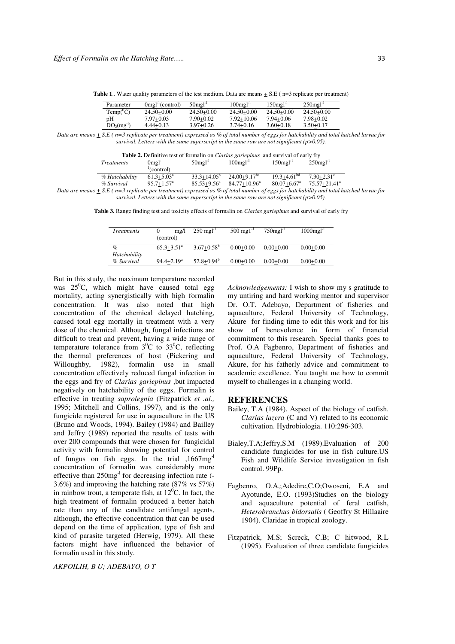**Table 1**. Water quality parameters of the test medium. Data are means  $\pm$  S.E ( n=3 replicate per treatment)

| Parameter   | $0$ mgl <sup>-1</sup> (control) | $50$ mgl <sup>-1</sup> | $100$ mg $l^{-1}$ | $150$ mgl <sup>-1</sup> | $250$ mgl <sup>-1</sup> |
|-------------|---------------------------------|------------------------|-------------------|-------------------------|-------------------------|
| $Temp^0C$   | $24.50+0.00$                    | $24.50 + 0.00$         | $24.50 + 0.00$    | $24.50 + 0.00$          | $24.50 + 0.00$          |
| pH          | 7.97+0.03                       | 7.90+0.02              | $7.92 + 10.06$    | 7.94+0.06               | 7.98+0.02               |
| $DO2(mg-1)$ | $4.44+0.13$                     | $3.97 + 0.26$          | $3.74 + 0.16$     | $3.60 + 0.18$           | $3.50 + 0.17$           |

*Data are means + S.E ( n=3 replicate per treatment) expressed as % of total number of eggs for hatchability and total hatched larvae for survival. Letters with the same superscript in the same row are not significant (p>0.05).* 

| <b>Table 2.</b> Definitive test of formalin on <i>Clarias gariepinus</i> and survival of early fry |                                                                                                                                                                                                                                    |                        |                         |                             |                              |  |
|----------------------------------------------------------------------------------------------------|------------------------------------------------------------------------------------------------------------------------------------------------------------------------------------------------------------------------------------|------------------------|-------------------------|-----------------------------|------------------------------|--|
| <i>Treatments</i>                                                                                  | $0$ mg $\Gamma$                                                                                                                                                                                                                    | $50$ mgl <sup>-1</sup> | $100$ mgl <sup>-1</sup> | $150$ mgl <sup>-1</sup>     | $250$ mgl <sup>-1</sup>      |  |
|                                                                                                    | (control)                                                                                                                                                                                                                          |                        |                         |                             |                              |  |
| % Hatchability                                                                                     | $61.3 + 5.03^{\circ}$                                                                                                                                                                                                              | $33.3 + 14.05^{\circ}$ | $24.00+9.17bc$          | $19.3 + 4.61bd$             | $7.30 + 2.31^e$              |  |
| % Survival                                                                                         | $95.7 + 1.57$ <sup>a</sup>                                                                                                                                                                                                         | $85.53 + 9.56^{\circ}$ | $84.77 + 10.96^{\circ}$ | $80.07 + 6.67$ <sup>a</sup> | $75.57 + 21.41$ <sup>a</sup> |  |
| $\sim$ $\sim$ $\sim$                                                                               | $\bullet$ . The contract of the contract of the contract of the contract of the contract of the contract of the contract of the contract of the contract of the contract of the contract of the contract of the contract of the co |                        |                         |                             | .                            |  |

*Data are means*  $\pm$  *S.E* ( $n=3$  replicate per treatment) expressed as % of total number of eggs for hatchability and total hatched larvae for *survival. Letters with the same superscript in the same row are not significant (p>0.05).* 

**Table 3.** Range finding test and toxicity effects of formalin on *Clarias gariepinus* and survival of early fry

| <i>Treatments</i>          | $m\Omega$<br>(control) | $250 \text{ mgl}^{-1}$ | $500 \text{ mg}1^{-1}$ | $750$ mgl <sup>-1</sup> | $1000$ mgl <sup>-1</sup> |
|----------------------------|------------------------|------------------------|------------------------|-------------------------|--------------------------|
| $\%$                       | $65.3 + 3.51^{\circ}$  | $3.67 + 0.58^b$        | $0.00 + 0.00$          | $0.00 + 0.00$           | $0.00 + 0.00$            |
| Hatchability<br>% Survival | $94.4 + 2.19^a$        | $52.8 + 0.94^b$        | $0.00 + 0.00$          | $0.00 + 0.00$           | $0.00 + 0.00$            |

But in this study, the maximum temperature recorded was  $25^{\circ}$ C, which might have caused total egg mortality, acting synergistically with high formalin concentration. It was also noted that high concentration of the chemical delayed hatching, caused total egg mortally in treatment with a very dose of the chemical. Although, fungal infections are difficult to treat and prevent, having a wide range of temperature tolerance from  $3^0C$  to  $33^0C$ , reflecting the thermal preferences of host (Pickering and Willoughby, 1982), formalin use in small concentration effectively reduced fungal infection in the eggs and fry of *Clarias gariepinus* ,but impacted negatively on hatchability of the eggs. Formalin is effective in treating *saprolegnia* (Fitzpatrick *et .al.,* 1995; Mitchell and Collins, 1997), and is the only fungicide registered for use in aquaculture in the US (Bruno and Woods, 1994). Bailey (1984) and Bailley and Jeffry (1989) reported the results of tests with over 200 compounds that were chosen for fungicidal activity with formalin showing potential for control of fungus on fish eggs. In the trial ,1667mgconcentration of formalin was considerably more effective than  $250mg^{-1}$  for decreasing infection rate (-3.6%) and improving the hatching rate (87% vs 57%) in rainbow trout, a temperate fish, at  $12^0$ C. In fact, the high treatment of formalin produced a better hatch rate than any of the candidate antifungal agents, although, the effective concentration that can be used depend on the time of application, type of fish and kind of parasite targeted (Herwig, 1979). All these factors might have influenced the behavior of formalin used in this study.

*Acknowledgements:* I wish to show my s gratitude to my untiring and hard working mentor and supervisor Dr. O.T. Adebayo, Department of fisheries and aquaculture, Federal University of Technology, Akure for finding time to edit this work and for his show of benevolence in form of financial commitment to this research. Special thanks goes to Prof. O.A Fagbenro, Department of fisheries and aquaculture, Federal University of Technology, Akure, for his fatherly advice and commitment to academic excellence. You taught me how to commit myself to challenges in a changing world.

#### **REFERENCES**

- Bailey, T.A (1984). Aspect of the biology of catfish. *Clarias lazera* (C and V) related to its economic cultivation. Hydrobiologia. 110:296-303.
- Bialey,T.A;Jeffry,S.M (1989).Evaluation of 200 candidate fungicides for use in fish culture.US Fish and Wildlife Service investigation in fish control. 99Pp.
- Fagbenro, O.A,;Adedire,C.O;Owoseni, E.A and Ayotunde, E.O. (1993)Studies on the biology and aquaculture potential of feral catfish, *Heterobranchus bidorsalis* ( Geoffry St Hillaaire 1904). Claridae in tropical zoology.
- Fitzpatrick, M.S; Screck, C.B; C hitwood, R.L (1995). Evaluation of three candidate fungicides

*AKPOILIH, B U; ADEBAYO, O T*